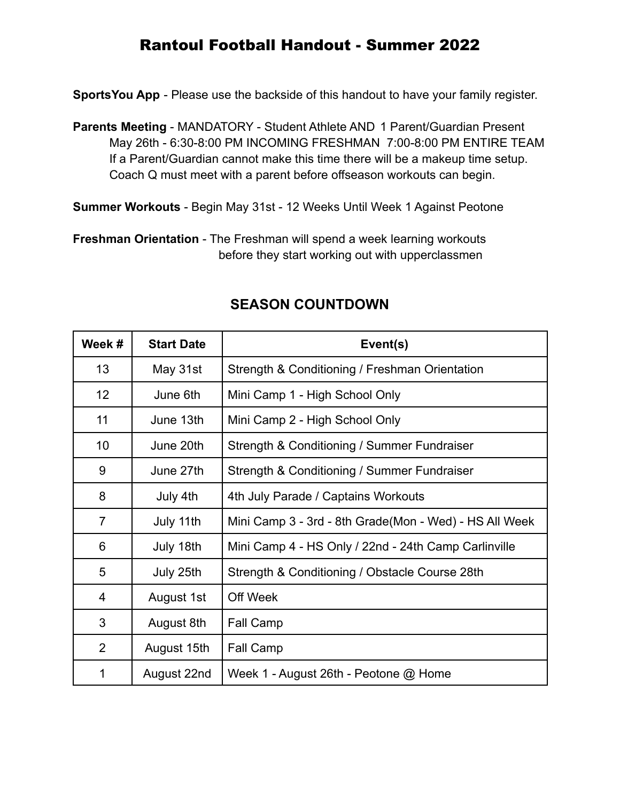# Rantoul Football Handout - Summer 2022

**SportsYou App** - Please use the backside of this handout to have your family register.

**Parents Meeting** - MANDATORY - Student Athlete AND 1 Parent/Guardian Present May 26th - 6:30-8:00 PM INCOMING FRESHMAN 7:00-8:00 PM ENTIRE TEAM If a Parent/Guardian cannot make this time there will be a makeup time setup. Coach Q must meet with a parent before offseason workouts can begin.

**Summer Workouts** - Begin May 31st - 12 Weeks Until Week 1 Against Peotone

**Freshman Orientation** - The Freshman will spend a week learning workouts before they start working out with upperclassmen

| Week #          | <b>Start Date</b> | Event(s)                                               |
|-----------------|-------------------|--------------------------------------------------------|
| 13              | May 31st          | Strength & Conditioning / Freshman Orientation         |
| 12 <sup>2</sup> | June 6th          | Mini Camp 1 - High School Only                         |
| 11              | June 13th         | Mini Camp 2 - High School Only                         |
| 10              | June 20th         | Strength & Conditioning / Summer Fundraiser            |
| 9               | June 27th         | Strength & Conditioning / Summer Fundraiser            |
| 8               | July 4th          | 4th July Parade / Captains Workouts                    |
| $\overline{7}$  | July 11th         | Mini Camp 3 - 3rd - 8th Grade(Mon - Wed) - HS All Week |
| 6               | July 18th         | Mini Camp 4 - HS Only / 22nd - 24th Camp Carlinville   |
| 5               | July 25th         | Strength & Conditioning / Obstacle Course 28th         |
| 4               | August 1st        | Off Week                                               |
| 3               | August 8th        | Fall Camp                                              |
| $\overline{2}$  | August 15th       | Fall Camp                                              |
| 1               | August 22nd       | Week 1 - August 26th - Peotone @ Home                  |

# **SEASON COUNTDOWN**